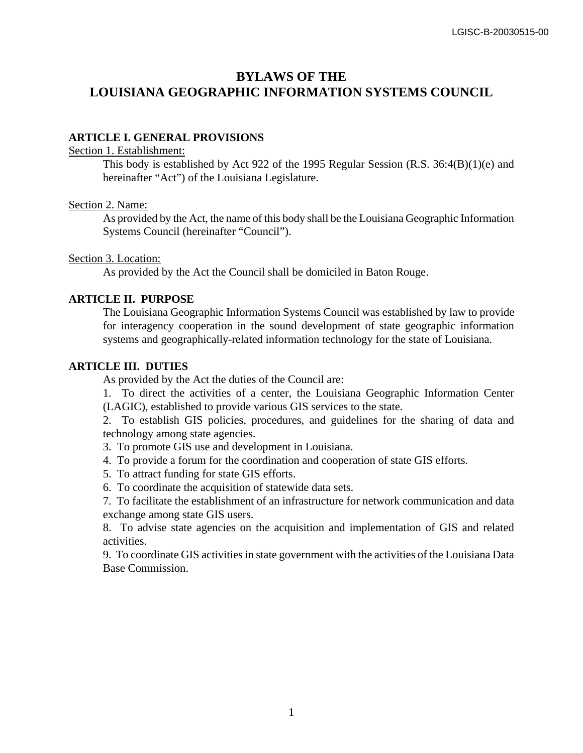# **BYLAWS OF THE LOUISIANA GEOGRAPHIC INFORMATION SYSTEMS COUNCIL**

## **ARTICLE I. GENERAL PROVISIONS**

#### Section 1. Establishment:

This body is established by Act 922 of the 1995 Regular Session (R.S.  $36:4(B)(1)(e)$  and hereinafter "Act") of the Louisiana Legislature.

## Section 2. Name:

As provided by the Act, the name of this body shall be the Louisiana Geographic Information Systems Council (hereinafter "Council").

## Section 3. Location:

As provided by the Act the Council shall be domiciled in Baton Rouge.

# **ARTICLE II. PURPOSE**

The Louisiana Geographic Information Systems Council was established by law to provide for interagency cooperation in the sound development of state geographic information systems and geographically-related information technology for the state of Louisiana.

# **ARTICLE III. DUTIES**

As provided by the Act the duties of the Council are:

1. To direct the activities of a center, the Louisiana Geographic Information Center (LAGIC), established to provide various GIS services to the state.

2. To establish GIS policies, procedures, and guidelines for the sharing of data and technology among state agencies.

- 3. To promote GIS use and development in Louisiana.
- 4. To provide a forum for the coordination and cooperation of state GIS efforts.
- 5. To attract funding for state GIS efforts.
- 6. To coordinate the acquisition of statewide data sets.
- 7. To facilitate the establishment of an infrastructure for network communication and data exchange among state GIS users.

8. To advise state agencies on the acquisition and implementation of GIS and related activities.

9. To coordinate GIS activities in state government with the activities of the Louisiana Data Base Commission.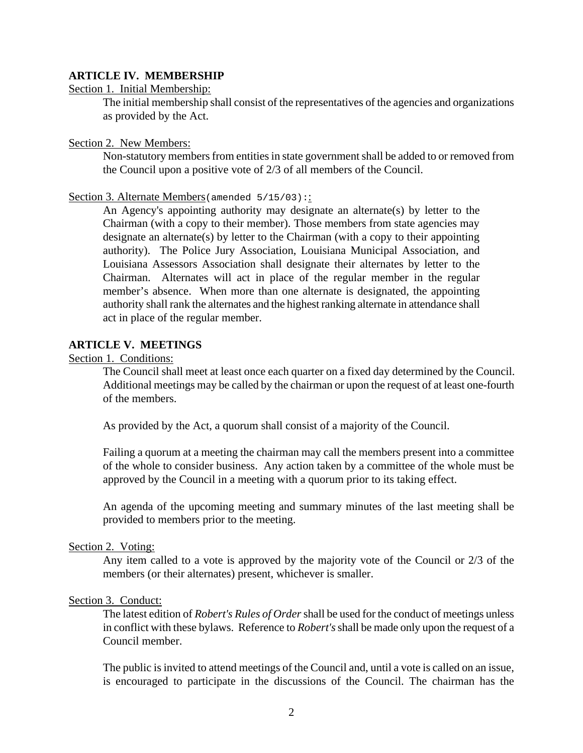## **ARTICLE IV. MEMBERSHIP**

### Section 1. Initial Membership:

The initial membership shall consist of the representatives of the agencies and organizations as provided by the Act.

# Section 2. New Members:

Non-statutory members from entities in state government shall be added to or removed from the Council upon a positive vote of 2/3 of all members of the Council.

### Section 3. Alternate Members (amended 5/15/03):

An Agency's appointing authority may designate an alternate(s) by letter to the Chairman (with a copy to their member). Those members from state agencies may designate an alternate(s) by letter to the Chairman (with a copy to their appointing authority). The Police Jury Association, Louisiana Municipal Association, and Louisiana Assessors Association shall designate their alternates by letter to the Chairman. Alternates will act in place of the regular member in the regular member's absence. When more than one alternate is designated, the appointing authority shall rank the alternates and the highest ranking alternate in attendance shall act in place of the regular member.

## **ARTICLE V. MEETINGS**

### Section 1. Conditions:

The Council shall meet at least once each quarter on a fixed day determined by the Council. Additional meetings may be called by the chairman or upon the request of at least one-fourth of the members.

As provided by the Act, a quorum shall consist of a majority of the Council.

Failing a quorum at a meeting the chairman may call the members present into a committee of the whole to consider business. Any action taken by a committee of the whole must be approved by the Council in a meeting with a quorum prior to its taking effect.

An agenda of the upcoming meeting and summary minutes of the last meeting shall be provided to members prior to the meeting.

#### Section 2. Voting:

Any item called to a vote is approved by the majority vote of the Council or 2/3 of the members (or their alternates) present, whichever is smaller.

### Section 3. Conduct:

The latest edition of *Robert's Rules of Order* shall be used for the conduct of meetings unless in conflict with these bylaws. Reference to *Robert's* shall be made only upon the request of a Council member.

The public is invited to attend meetings of the Council and, until a vote is called on an issue, is encouraged to participate in the discussions of the Council. The chairman has the